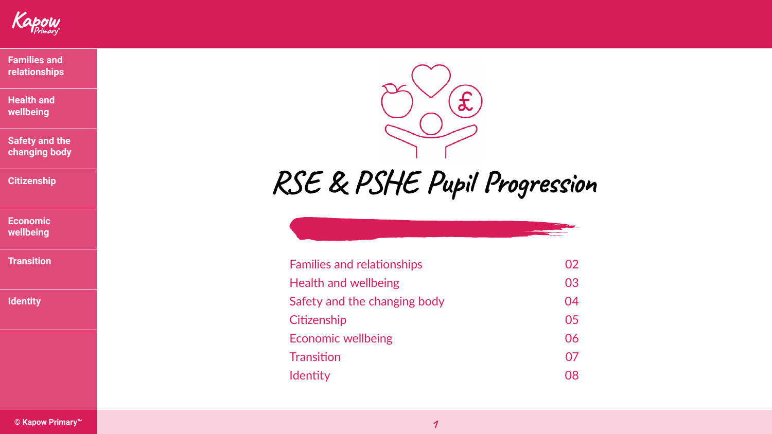**RSE & PSHE Pupil Progression**

| elationships    | 02        |
|-----------------|-----------|
| ellbeing        | 03        |
| e changing body | 04        |
|                 | 05        |
| <b>Ibeing</b>   | 06        |
|                 | 07        |
|                 | <b>80</b> |
|                 |           |

Families and re Health and we Safety and the **Citizenship Economic well Transition Identity** 





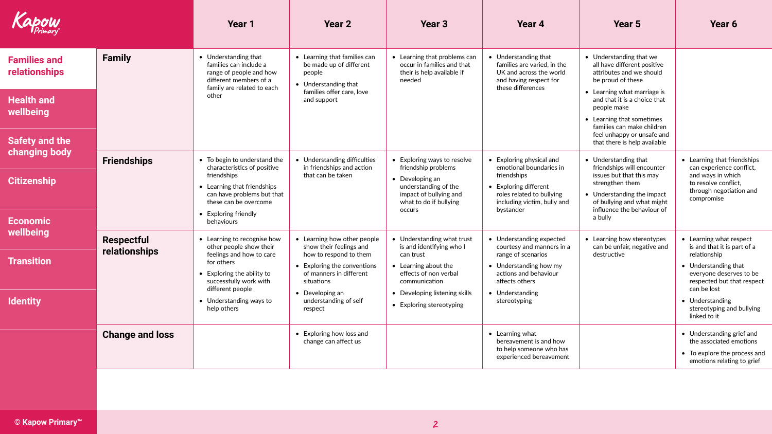





<span id="page-1-0"></span>

| <b>Capow</b>                                              |                                    | <b>Year 1</b>                                                                                                                                                    | <b>Year 2</b>                                                                                                                                            | Year <sub>3</sub>                                                                                                                                      | Year 4                                                                                                                                                  | Year 5                                                                                                                                                                                | Year 6                                                                                                                                                                 |
|-----------------------------------------------------------|------------------------------------|------------------------------------------------------------------------------------------------------------------------------------------------------------------|----------------------------------------------------------------------------------------------------------------------------------------------------------|--------------------------------------------------------------------------------------------------------------------------------------------------------|---------------------------------------------------------------------------------------------------------------------------------------------------------|---------------------------------------------------------------------------------------------------------------------------------------------------------------------------------------|------------------------------------------------------------------------------------------------------------------------------------------------------------------------|
| <b>Families and</b><br>relationships<br><b>Health and</b> | <b>Family</b>                      | • Understanding that<br>families can include a<br>range of people and how<br>different members of a<br>family are related to each<br>other                       | • Learning that families can<br>be made up of different<br>people<br>• Understanding that<br>families offer care, love<br>and support                    | • Learning that problems can<br>occur in families and that<br>their is help available if<br>needed                                                     | • Understanding that<br>families are varied, in the<br>UK and across the world<br>and having respect for<br>these differences                           | • Understanding that we<br>all have different positive<br>attributes and we should<br>be proud of these<br>• Learning what marriage is<br>and that it is a choice that<br>people make |                                                                                                                                                                        |
| wellbeing<br>Safety and the<br>changing body              |                                    |                                                                                                                                                                  |                                                                                                                                                          |                                                                                                                                                        |                                                                                                                                                         | • Learning that sometimes<br>families can make children<br>feel unhappy or unsafe and<br>that there is help available                                                                 |                                                                                                                                                                        |
| <b>Citizenship</b>                                        | <b>Friendships</b>                 | • To begin to understand the<br>characteristics of positive<br>friendships<br>• Learning that friendships<br>can have problems but that<br>these can be overcome | • Understanding difficulties<br>in friendships and action<br>that can be taken                                                                           | • Exploring ways to resolve<br>friendship problems<br><b>Developing an</b><br>understanding of the<br>impact of bullying and<br>what to do if bullying | • Exploring physical and<br>emotional boundaries in<br>friendships<br>• Exploring different<br>roles related to bullying<br>including victim, bully and | • Understanding that<br>friendships will encounter<br>issues but that this may<br>strengthen them<br>• Understanding the impact<br>of bullying and what might                         | • Learning that friendships<br>can experience conflict,<br>and ways in which<br>to resolve conflict,<br>through negotiation and<br>compromise                          |
| <b>Economic</b><br>wellbeing                              |                                    | • Exploring friendly<br>behaviours                                                                                                                               |                                                                                                                                                          | <b>OCCULS</b>                                                                                                                                          | bystander                                                                                                                                               | influence the behaviour of<br>a bully                                                                                                                                                 |                                                                                                                                                                        |
| <b>Transition</b>                                         | <b>Respectful</b><br>relationships | • Learning to recognise how<br>other people show their<br>feelings and how to care<br>for others<br>$\bullet$ Exploring the ability to<br>successfully work with | • Learning how other people<br>show their feelings and<br>how to respond to them<br>• Exploring the conventions<br>of manners in different<br>situations | Understanding what trust<br>is and identifying who I<br>can trust<br>• Learning about the<br>effects of non verbal<br>communication                    | • Understanding expected<br>courtesy and manners in a<br>range of scenarios<br>• Understanding how my<br>actions and behaviour<br>affects others        | • Learning how stereotypes<br>can be unfair, negative and<br>destructive                                                                                                              | • Learning what respect<br>is and that it is part of a<br>relationship<br>• Understanding that<br>everyone deserves to be<br>respected but that respect<br>can be lost |
| <b>Identity</b>                                           |                                    | different people<br>• Understanding ways to<br>help others                                                                                                       | • Developing an<br>understanding of self<br>respect                                                                                                      | • Developing listening skills<br>• Exploring stereotyping                                                                                              | • Understanding<br>stereotyping                                                                                                                         |                                                                                                                                                                                       | • Understanding<br>stereotyping and bullying<br>linked to it                                                                                                           |
|                                                           | <b>Change and loss</b>             |                                                                                                                                                                  | • Exploring how loss and<br>change can affect us                                                                                                         |                                                                                                                                                        | $\bullet$ Learning what<br>bereavement is and how<br>to help someone who has<br>experienced bereavement                                                 |                                                                                                                                                                                       | • Understanding grief and<br>the associated emotions<br>• To explore the process and<br>emotions relating to grief                                                     |
|                                                           |                                    |                                                                                                                                                                  |                                                                                                                                                          |                                                                                                                                                        |                                                                                                                                                         |                                                                                                                                                                                       |                                                                                                                                                                        |





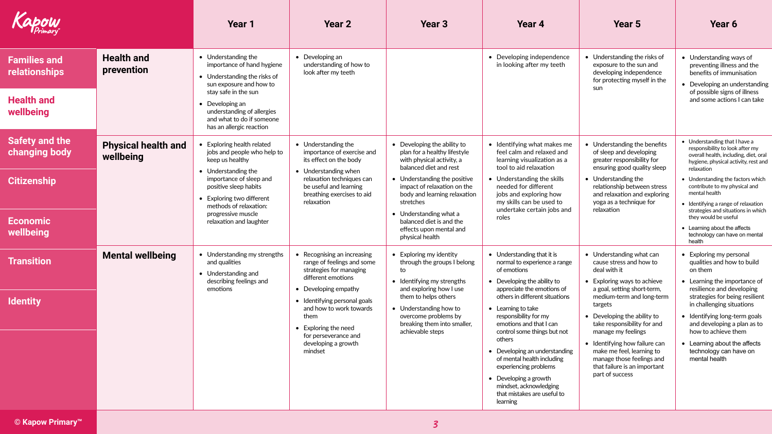ling ways of illness and the  $immunisation$ an understanding of possible signs of illness

<span id="page-2-0"></span>

| Kapow                                                                                        |                                         | <b>Year 1</b>                                                                                                                                                                                                                                                   | <b>Year 2</b>                                                                                                                                                                                                                                                                           | Year <sub>3</sub>                                                                                                                                                                                                                                                                                                                  | Year 4                                                                                                                                                                                                                                                                                                                                                                                                                                                                                            | Year 5                                                                                                                                                                                                                                                                                                                                                                                                      | Year 6                                                                                                                                                                                                                                                                                                                                                                                                                               |
|----------------------------------------------------------------------------------------------|-----------------------------------------|-----------------------------------------------------------------------------------------------------------------------------------------------------------------------------------------------------------------------------------------------------------------|-----------------------------------------------------------------------------------------------------------------------------------------------------------------------------------------------------------------------------------------------------------------------------------------|------------------------------------------------------------------------------------------------------------------------------------------------------------------------------------------------------------------------------------------------------------------------------------------------------------------------------------|---------------------------------------------------------------------------------------------------------------------------------------------------------------------------------------------------------------------------------------------------------------------------------------------------------------------------------------------------------------------------------------------------------------------------------------------------------------------------------------------------|-------------------------------------------------------------------------------------------------------------------------------------------------------------------------------------------------------------------------------------------------------------------------------------------------------------------------------------------------------------------------------------------------------------|--------------------------------------------------------------------------------------------------------------------------------------------------------------------------------------------------------------------------------------------------------------------------------------------------------------------------------------------------------------------------------------------------------------------------------------|
| <b>Families and</b><br><b>relationships</b><br><b>Health and</b><br>wellbeing                | <b>Health and</b><br>prevention         | $\bullet$ Understanding the<br>importance of hand hygiene<br>• Understanding the risks of<br>sun exposure and how to<br>stay safe in the sun<br>$\bullet$ Developing an<br>understanding of allergies<br>and what to do if someone<br>has an allergic reaction  | $\bullet$ Developing an<br>understanding of how to<br>look after my teeth                                                                                                                                                                                                               |                                                                                                                                                                                                                                                                                                                                    | • Developing independence<br>in looking after my teeth                                                                                                                                                                                                                                                                                                                                                                                                                                            | • Understanding the risks of<br>exposure to the sun and<br>developing independence<br>for protecting myself in the<br>sun                                                                                                                                                                                                                                                                                   | • Understanding ways of<br>preventing illness and the<br>benefits of immunisation<br>• Developing an understandir<br>of possible signs of illness<br>and some actions I can take                                                                                                                                                                                                                                                     |
| <b>Safety and the</b><br>changing body<br><b>Citizenship</b><br><b>Economic</b><br>wellbeing | <b>Physical health and</b><br>wellbeing | • Exploring health related<br>jobs and people who help to<br>keep us healthy<br>• Understanding the<br>importance of sleep and<br>positive sleep habits<br>• Exploring two different<br>methods of relaxation:<br>progressive muscle<br>relaxation and laughter | • Understanding the<br>importance of exercise and<br>its effect on the body<br>• Understanding when<br>relaxation techniques can<br>be useful and learning<br>breathing exercises to aid<br>relaxation                                                                                  | • Developing the ability to<br>plan for a healthy lifestyle<br>with physical activity, a<br>balanced diet and rest<br>• Understanding the positive<br>impact of relaxation on the<br>body and learning relaxation<br>stretches<br>• Understanding what a<br>balanced diet is and the<br>effects upon mental and<br>physical health | • Identifying what makes me<br>feel calm and relaxed and<br>learning visualization as a<br>tool to aid relaxation<br>• Understanding the skills<br>needed for different<br>jobs and exploring how<br>my skills can be used to<br>undertake certain jobs and<br>roles                                                                                                                                                                                                                              | • Understanding the benefits<br>of sleep and developing<br>greater responsibility for<br>ensuring good quality sleep<br>• Understanding the<br>relationship between stress<br>and relaxation and exploring<br>yoga as a technique for<br>relaxation                                                                                                                                                         | • Understanding that I have a<br>responsibility to look after my<br>overall health, including, diet, ora<br>hygiene, physical activity, rest an<br>relaxation<br>• Understanding the factors which<br>contribute to my physical and<br>mental health<br>• Identifying a range of relaxation<br>strategies and situations in which<br>they would be useful<br>• Learning about the affects<br>technology can have on mental<br>health |
| <b>Transition</b><br><b>Identity</b>                                                         | <b>Mental wellbeing</b>                 | • Understanding my strengths<br>and qualities<br>• Understanding and<br>describing feelings and<br>emotions                                                                                                                                                     | • Recognising an increasing<br>range of feelings and some<br>strategies for managing<br>different emotions<br>• Developing empathy<br>• Identifying personal goals<br>and how to work towards<br>them<br>• Exploring the need<br>for perseverance and<br>developing a growth<br>mindset | • Exploring my identity<br>through the groups I belong<br>to<br>• Identifying my strengths<br>and exploring how I use<br>them to helps others<br>$\bullet$ Understanding how to<br>overcome problems by<br>breaking them into smaller,<br>achievable steps                                                                         | $\bullet$ Understanding that it is<br>normal to experience a range<br>of emotions<br>• Developing the ability to<br>appreciate the emotions of<br>others in different situations<br>$\bullet$ Learning to take<br>responsibility for my<br>emotions and that I can<br>control some things but not<br>others<br>• Developing an understanding<br>of mental health including<br>experiencing problems<br>• Developing a growth<br>mindset, acknowledging<br>that mistakes are useful to<br>learning | • Understanding what can<br>cause stress and how to<br>deal with it<br>• Exploring ways to achieve<br>a goal, setting short-term,<br>medium-term and long-term<br>targets<br>• Developing the ability to<br>take responsibility for and<br>manage my feelings<br>• Identifying how failure can<br>make me feel, learning to<br>manage those feelings and<br>that failure is an important<br>part of success | • Exploring my personal<br>qualities and how to build<br>on them<br>• Learning the importance of<br>resilience and developing<br>strategies for being resilient<br>in challenging situations<br>• Identifying long-term goals<br>and developing a plan as to<br>how to achieve them<br>• Learning about the affects<br>technology can have on<br>mental health                                                                       |

responsibility to look after my overall health, including, diet, oral hygiene, physical activity, rest and

> g the factors which  $\widetilde{\phantom{a}}$  my physical and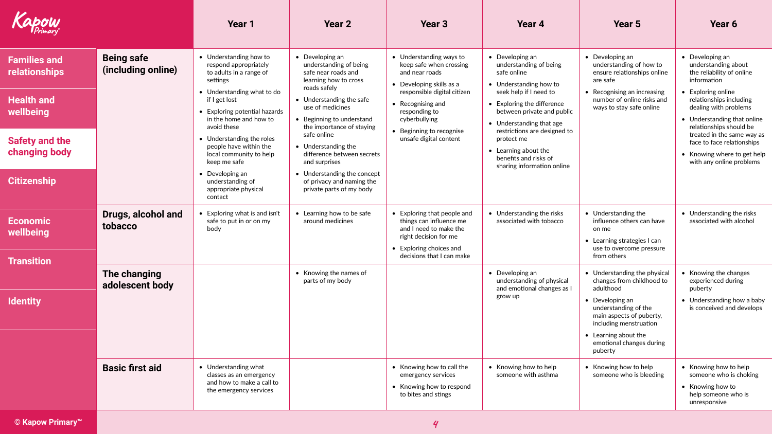<span id="page-3-0"></span>

| Kapow                                                                                                                                  |                                                           | Year <sub>1</sub>                                                                                                                                                                                                                                                                                                                                                                                   | <b>Year 2</b>                                                                                                                                                                                                                                                                                                                                                                                            | Year 3                                                                                                                                                                                                                                       | Year 4                                                                                                                                                                                                                                                                                                                                    | <b>Year 5</b>                                                                                                                                                                                                                                                                                      | Year 6                                                                                                                                                                                                                                                                                                                                                |
|----------------------------------------------------------------------------------------------------------------------------------------|-----------------------------------------------------------|-----------------------------------------------------------------------------------------------------------------------------------------------------------------------------------------------------------------------------------------------------------------------------------------------------------------------------------------------------------------------------------------------------|----------------------------------------------------------------------------------------------------------------------------------------------------------------------------------------------------------------------------------------------------------------------------------------------------------------------------------------------------------------------------------------------------------|----------------------------------------------------------------------------------------------------------------------------------------------------------------------------------------------------------------------------------------------|-------------------------------------------------------------------------------------------------------------------------------------------------------------------------------------------------------------------------------------------------------------------------------------------------------------------------------------------|----------------------------------------------------------------------------------------------------------------------------------------------------------------------------------------------------------------------------------------------------------------------------------------------------|-------------------------------------------------------------------------------------------------------------------------------------------------------------------------------------------------------------------------------------------------------------------------------------------------------------------------------------------------------|
| <b>Families and</b><br>relationships<br><b>Health and</b><br>wellbeing<br><b>Safety and the</b><br>changing body<br><b>Citizenship</b> | <b>Being safe</b><br>(including online)                   | • Understanding how to<br>respond appropriately<br>to adults in a range of<br>settings<br>• Understanding what to do<br>if I get lost<br>• Exploring potential hazards<br>in the home and how to<br>avoid these<br>• Understanding the roles<br>people have within the<br>local community to help<br>keep me safe<br>$\bullet$ Developing an<br>understanding of<br>appropriate physical<br>contact | $\bullet$ Developing an<br>understanding of being<br>safe near roads and<br>learning how to cross<br>roads safely<br>• Understanding the safe<br>use of medicines<br>• Beginning to understand<br>the importance of staying<br>safe online<br>• Understanding the<br>difference between secrets<br>and surprises<br>• Understanding the concept<br>of privacy and naming the<br>private parts of my body | • Understanding ways to<br>keep safe when crossing<br>and near roads<br>• Developing skills as a<br>responsible digital citizen<br>• Recognising and<br>responding to<br>cyberbullying<br>• Beginning to recognise<br>unsafe digital content | $\bullet$ Developing an<br>understanding of being<br>safe online<br>• Understanding how to<br>seek help if I need to<br>• Exploring the difference<br>between private and public<br>• Understanding that age<br>restrictions are designed to<br>protect me<br>• Learning about the<br>benefits and risks of<br>sharing information online | $\bullet$ Developing an<br>understanding of how to<br>ensure relationships online<br>are safe<br>• Recognising an increasing<br>number of online risks and<br>ways to stay safe online                                                                                                             | $\bullet$ Developing an<br>understanding about<br>the reliability of online<br>information<br>• Exploring online<br>relationships including<br>dealing with problems<br>• Understanding that online<br>relationships should be<br>treated in the same way as<br>face to face relationships<br>• Knowing where to get help<br>with any online problems |
| <b>Economic</b><br>wellbeing<br>Transition                                                                                             | Drugs, alcohol and<br>tobacco                             | • Exploring what is and isn't<br>safe to put in or on my<br>body                                                                                                                                                                                                                                                                                                                                    | • Learning how to be safe<br>around medicines                                                                                                                                                                                                                                                                                                                                                            | • Exploring that people and<br>things can influence me<br>and I need to make the<br>right decision for me<br>• Exploring choices and<br>decisions that I can make                                                                            | • Understanding the risks<br>associated with tobacco                                                                                                                                                                                                                                                                                      | • Understanding the<br>influence others can have<br>on me<br>• Learning strategies I can<br>use to overcome pressure<br>from others                                                                                                                                                                | • Understanding the risks<br>associated with alcohol                                                                                                                                                                                                                                                                                                  |
| <b>Identity</b>                                                                                                                        | The changing<br>adolescent body<br><b>Basic first aid</b> | • Understanding what<br>classes as an emergency<br>and how to make a call to                                                                                                                                                                                                                                                                                                                        | • Knowing the names of<br>parts of my body                                                                                                                                                                                                                                                                                                                                                               | • Knowing how to call the<br>emergency services<br>• Knowing how to respond                                                                                                                                                                  | $\bullet$ Developing an<br>understanding of physical<br>and emotional changes as I<br>grow up<br>• Knowing how to help<br>someone with asthma                                                                                                                                                                                             | • Understanding the physical<br>changes from childhood to<br>adulthood<br>$\bullet$ Developing an<br>understanding of the<br>main aspects of puberty,<br>including menstruation<br>• Learning about the<br>emotional changes during<br>puberty<br>• Knowing how to help<br>someone who is bleeding | • Knowing the changes<br>experienced during<br>puberty<br>• Understanding how a baby<br>is conceived and develops<br>• Knowing how to help<br>someone who is choking<br>• Knowing how to                                                                                                                                                              |
| © Kapow Primary™                                                                                                                       |                                                           | the emergency services                                                                                                                                                                                                                                                                                                                                                                              |                                                                                                                                                                                                                                                                                                                                                                                                          | to bites and stings<br>$\boldsymbol{q}$                                                                                                                                                                                                      |                                                                                                                                                                                                                                                                                                                                           |                                                                                                                                                                                                                                                                                                    | help someone who is<br>unresponsive                                                                                                                                                                                                                                                                                                                   |

-11





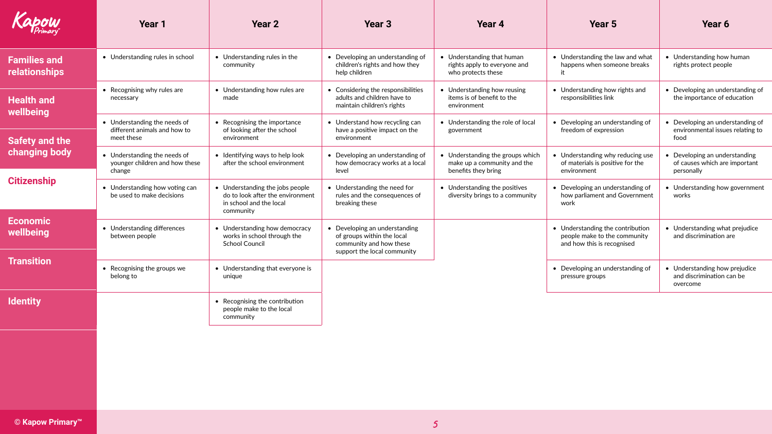<span id="page-4-0"></span>

| Kapow                                | Year 1                                                                     | <b>Year 2</b>                                                                                      | <b>Year 3</b>                                                                                                         | Year 4                                                                                 | Year 5                                                                                         | Year 6                                                                                |
|--------------------------------------|----------------------------------------------------------------------------|----------------------------------------------------------------------------------------------------|-----------------------------------------------------------------------------------------------------------------------|----------------------------------------------------------------------------------------|------------------------------------------------------------------------------------------------|---------------------------------------------------------------------------------------|
| <b>Families and</b><br>relationships | • Understanding rules in school                                            | • Understanding rules in the<br>community                                                          | • Developing an understanding of<br>children's rights and how they<br>help children                                   | • Understanding that human<br>rights apply to everyone and<br>who protects these       | • Understanding the law and what<br>happens when someone breaks                                | • Understanding how human<br>rights protect people                                    |
| <b>Health and</b><br>wellbeing       | • Recognising why rules are<br>necessary                                   | • Understanding how rules are<br>made                                                              | • Considering the responsibilities<br>adults and children have to<br>maintain children's rights                       | • Understanding how reusing<br>items is of benefit to the<br>environment               | • Understanding how rights and<br>responsibilities link                                        | • Developing an understanding of<br>the importance of education                       |
| <b>Safety and the</b>                | • Understanding the needs of<br>different animals and how to<br>meet these | • Recognising the importance<br>of looking after the school<br>environment                         | • Understand how recycling can<br>have a positive impact on the<br>environment                                        | • Understanding the role of local<br>government                                        | • Developing an understanding of<br>freedom of expression                                      | • Developing an understanding of<br>environmental issues relating to<br>food          |
| <b>changing body</b>                 | • Understanding the needs of<br>younger children and how these<br>change   | • Identifying ways to help look<br>after the school environment                                    | • Developing an understanding of<br>how democracy works at a local<br>level                                           | • Understanding the groups which<br>make up a community and the<br>benefits they bring | Understanding why reducing use<br>of materials is positive for the<br>environment              | $\sqrt{2}$ Developing an understanding<br>of causes which are important<br>personally |
| <b>Citizenship</b>                   | • Understanding how voting can<br>be used to make decisions                | • Understanding the jobs people<br>do to look after the environment<br>in school and the local     | Understanding the need for<br>rules and the consequences of<br>breaking these                                         | • Understanding the positives<br>diversity brings to a community                       | • Developing an understanding of<br>how parliament and Government<br>work                      | • Understanding how government<br>works                                               |
| <b>Economic</b><br>wellbeing         | • Understanding differences<br>between people                              | community<br>• Understanding how democracy<br>works in school through the<br><b>School Council</b> | • Developing an understanding<br>of groups within the local<br>community and how these<br>support the local community |                                                                                        | • Understanding the contribution<br>people make to the community<br>and how this is recognised | • Understanding what prejudice<br>and discrimination are                              |
| <b>Transition</b>                    | Recognising the groups we<br>belong to                                     | • Understanding that everyone is<br>unique                                                         |                                                                                                                       |                                                                                        | • Developing an understanding of<br>pressure groups                                            | • Understanding how prejudice<br>and discrimination can be<br>overcome                |
| <b>Identity</b>                      |                                                                            | • Recognising the contribution<br>people make to the local<br>community                            |                                                                                                                       |                                                                                        |                                                                                                |                                                                                       |
|                                      |                                                                            |                                                                                                    |                                                                                                                       |                                                                                        |                                                                                                |                                                                                       |
|                                      |                                                                            |                                                                                                    |                                                                                                                       |                                                                                        |                                                                                                |                                                                                       |
|                                      |                                                                            |                                                                                                    |                                                                                                                       |                                                                                        |                                                                                                |                                                                                       |
| © Kapow Primary <sup>™</sup>         |                                                                            |                                                                                                    |                                                                                                                       |                                                                                        |                                                                                                |                                                                                       |



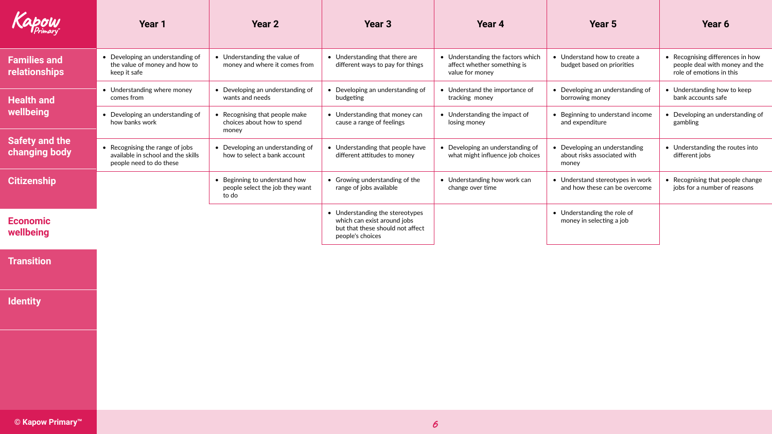<span id="page-5-0"></span>

| Kapow                                  | Year 1                                                                                           | Year 2                                                                    | <b>Year 3</b>                                                                                                          | Year 4                                                                              | Year 5                                                                | Year 6                                                                                         |
|----------------------------------------|--------------------------------------------------------------------------------------------------|---------------------------------------------------------------------------|------------------------------------------------------------------------------------------------------------------------|-------------------------------------------------------------------------------------|-----------------------------------------------------------------------|------------------------------------------------------------------------------------------------|
| <b>Families and</b><br>relationships   | • Developing an understanding of<br>the value of money and how to<br>keep it safe                | • Understanding the value of<br>money and where it comes from             | • Understanding that there are<br>different ways to pay for things                                                     | • Understanding the factors which<br>affect whether something is<br>value for money | • Understand how to create a<br>budget based on priorities            | • Recognising differences in how<br>people deal with money and the<br>role of emotions in this |
| <b>Health and</b>                      | • Understanding where money<br>comes from                                                        | • Developing an understanding of<br>wants and needs                       | • Developing an understanding of<br>budgeting                                                                          | • Understand the importance of<br>tracking money                                    | • Developing an understanding of<br>borrowing money                   | • Understanding how to keep<br>bank accounts safe                                              |
| wellbeing                              | Developing an understanding of<br>how banks work                                                 | • Recognising that people make<br>choices about how to spend<br>money     | • Understanding that money can<br>cause a range of feelings                                                            | • Understanding the impact of<br>losing money                                       | • Beginning to understand income<br>and expenditure                   | • Developing an understanding of<br>gambling                                                   |
| <b>Safety and the</b><br>changing body | • Recognising the range of jobs<br>available in school and the skills<br>people need to do these | • Developing an understanding of<br>how to select a bank account          | • Understanding that people have<br>different attitudes to money                                                       | • Developing an understanding of<br>what might influence job choices                | • Developing an understanding<br>about risks associated with<br>money | • Understanding the routes into<br>different jobs                                              |
| <b>Citizenship</b>                     |                                                                                                  | • Beginning to understand how<br>people select the job they want<br>to do | • Growing understanding of the<br>range of jobs available                                                              | • Understanding how work can<br>change over time                                    | • Understand stereotypes in work<br>and how these can be overcome     | • Recognising that people change<br>jobs for a number of reasons                               |
| <b>Economic</b><br>wellbeing           |                                                                                                  |                                                                           | • Understanding the stereotypes<br>which can exist around jobs<br>but that these should not affect<br>people's choices |                                                                                     | • Understanding the role of<br>money in selecting a job               |                                                                                                |
| <b>Transition</b>                      |                                                                                                  |                                                                           |                                                                                                                        |                                                                                     |                                                                       |                                                                                                |
| <b>Identity</b>                        |                                                                                                  |                                                                           |                                                                                                                        |                                                                                     |                                                                       |                                                                                                |
|                                        |                                                                                                  |                                                                           |                                                                                                                        |                                                                                     |                                                                       |                                                                                                |
|                                        |                                                                                                  |                                                                           |                                                                                                                        |                                                                                     |                                                                       |                                                                                                |
| © Kapow Primary <sup>™</sup>           |                                                                                                  |                                                                           |                                                                                                                        | 6                                                                                   |                                                                       |                                                                                                |



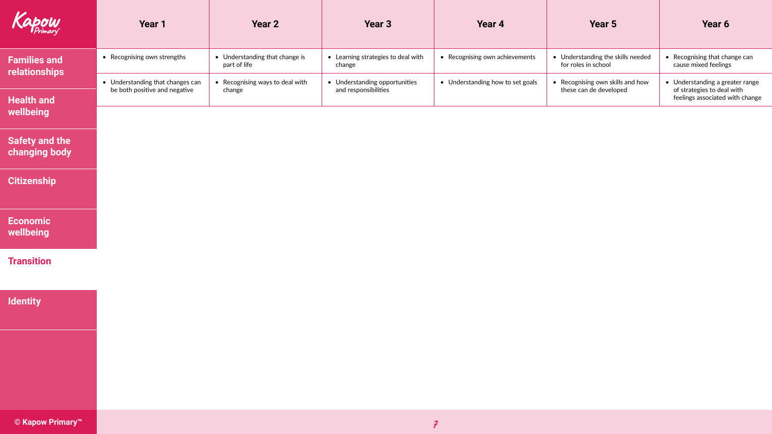<span id="page-6-0"></span>

| Kapow                                  | Year 1                                                            | Year 2                                         | Year 3                                                | Year 4                           | Year 5                                                     | Year 6                                                                                           |
|----------------------------------------|-------------------------------------------------------------------|------------------------------------------------|-------------------------------------------------------|----------------------------------|------------------------------------------------------------|--------------------------------------------------------------------------------------------------|
| <b>Families and</b><br>relationships   | • Recognising own strengths                                       | • Understanding that change is<br>part of life | • Learning strategies to deal with<br>change          | • Recognising own achievements   | • Understanding the skills needed<br>for roles in school   | • Recognising that change can<br>cause mixed feelings                                            |
| <b>Health and</b>                      | • Understanding that changes can<br>be both positive and negative | • Recognising ways to deal with<br>change      | • Understanding opportunities<br>and responsibilities | • Understanding how to set goals | • Recognising own skills and how<br>these can de developed | • Understanding a greater range<br>of strategies to deal with<br>feelings associated with change |
| wellbeing                              |                                                                   |                                                |                                                       |                                  |                                                            |                                                                                                  |
| <b>Safety and the</b><br>changing body |                                                                   |                                                |                                                       |                                  |                                                            |                                                                                                  |
| <b>Citizenship</b>                     |                                                                   |                                                |                                                       |                                  |                                                            |                                                                                                  |
| Economic<br>wellbeing                  |                                                                   |                                                |                                                       |                                  |                                                            |                                                                                                  |
| <b>Transition</b>                      |                                                                   |                                                |                                                       |                                  |                                                            |                                                                                                  |
| <b>Identity</b>                        |                                                                   |                                                |                                                       |                                  |                                                            |                                                                                                  |
|                                        |                                                                   |                                                |                                                       |                                  |                                                            |                                                                                                  |
|                                        |                                                                   |                                                |                                                       |                                  |                                                            |                                                                                                  |
|                                        |                                                                   |                                                |                                                       |                                  |                                                            |                                                                                                  |
| © Kapow Primary <sup>™</sup>           |                                                                   |                                                |                                                       |                                  |                                                            |                                                                                                  |